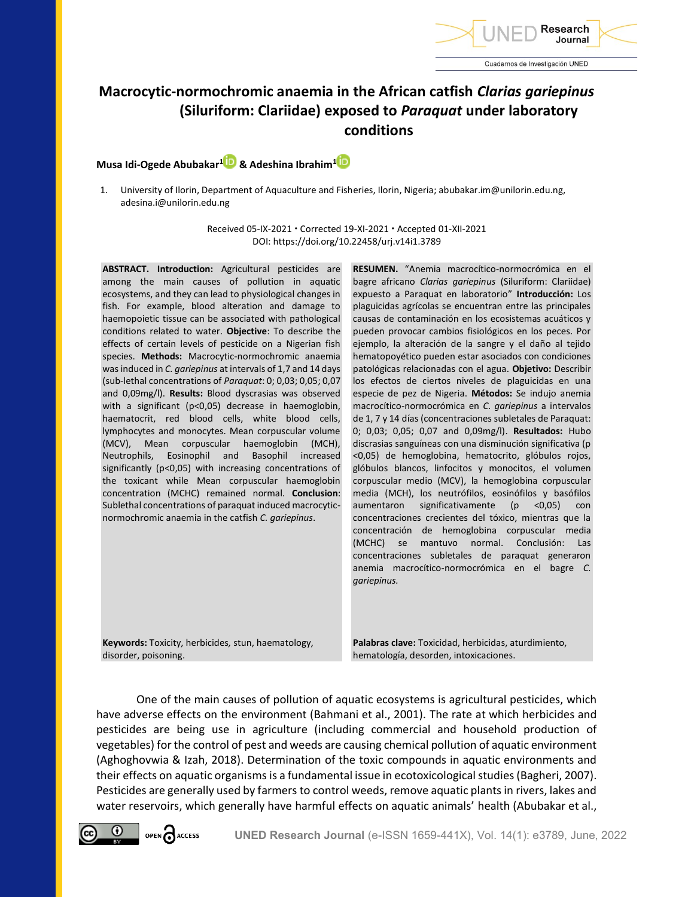

# **Macrocytic-normochromic anaemia in the African catfish** *Clarias gariepinus* **(Siluriform: Clariidae) exposed to** *Paraquat* **under laboratory conditions**

# **Musa Idi-Ogede Abubakar<sup>1</sup> & Adeshina Ibrahim[1](https://orcid.org/0000-0002-2404-2956)**

1. University of Ilorin, Department of Aquaculture and Fisheries, Ilorin, Nigeria; abubakar.im@unilorin.edu.ng, adesina.i@unilorin.edu.ng

> Received 05-IX-2021 · Corrected 19-XI-2021 · Accepted 01-XII-2021 DOI: https://doi.org/10.22458/urj.v14i1.3789

**ABSTRACT. Introduction:** Agricultural pesticides are among the main causes of pollution in aquatic ecosystems, and they can lead to physiological changes in fish. For example, blood alteration and damage to haemopoietic tissue can be associated with pathological conditions related to water. **Objective**: To describe the effects of certain levels of pesticide on a Nigerian fish species. **Methods:** Macrocytic-normochromic anaemia was induced in *C. gariepinus* at intervals of 1,7 and 14 days (sub-lethal concentrations of *Paraquat*: 0; 0,03; 0,05; 0,07 and 0,09mg/l). **Results:** Blood dyscrasias was observed with a significant (p<0,05) decrease in haemoglobin, haematocrit, red blood cells, white blood cells, lymphocytes and monocytes. Mean corpuscular volume (MCV), Mean corpuscular haemoglobin (MCH), Neutrophils, Eosinophil and Basophil increased significantly (p<0,05) with increasing concentrations of the toxicant while Mean corpuscular haemoglobin concentration (MCHC) remained normal. **Conclusion**: Sublethal concentrations of paraquat induced macrocyticnormochromic anaemia in the catfish *C. gariepinus*.

**Keywords:** Toxicity, herbicides*,* stun, haematology, disorder, poisoning.

**RESUMEN.** "Anemia macrocítico-normocrómica en el bagre africano *Clarias gariepinus* (Siluriform: Clariidae) expuesto a Paraquat en laboratorio" **Introducción:** Los plaguicidas agrícolas se encuentran entre las principales causas de contaminación en los ecosistemas acuáticos y pueden provocar cambios fisiológicos en los peces. Por ejemplo, la alteración de la sangre y el daño al tejido hematopoyético pueden estar asociados con condiciones patológicas relacionadas con el agua. **Objetivo:** Describir los efectos de ciertos niveles de plaguicidas en una especie de pez de Nigeria. **Métodos:** Se indujo anemia macrocítico-normocrómica en *C. gariepinus* a intervalos de 1, 7 y 14 días (concentraciones subletales de Paraquat: 0; 0,03; 0,05; 0,07 and 0,09mg/l). **Resultados:** Hubo discrasias sanguíneas con una disminución significativa (p <0,05) de hemoglobina, hematocrito, glóbulos rojos, glóbulos blancos, linfocitos y monocitos, el volumen corpuscular medio (MCV), la hemoglobina corpuscular media (MCH), los neutrófilos, eosinófilos y basófilos aumentaron significativamente (p <0,05) con concentraciones crecientes del tóxico, mientras que la concentración de hemoglobina corpuscular media (MCHC) se mantuvo normal. Conclusión: Las concentraciones subletales de paraquat generaron anemia macrocítico-normocrómica en el bagre *C. gariepinus.*

**Palabras clave:** Toxicidad, herbicidas, aturdimiento, hematología, desorden, intoxicaciones.

One of the main causes of pollution of aquatic ecosystems is agricultural pesticides, which have adverse effects on the environment (Bahmani et al., 2001). The rate at which herbicides and pesticides are being use in agriculture (including commercial and household production of vegetables) for the control of pest and weeds are causing chemical pollution of aquatic environment (Aghoghovwia & Izah, 2018). Determination of the toxic compounds in aquatic environments and their effects on aquatic organisms is a fundamental issue in ecotoxicological studies (Bagheri, 2007). Pesticides are generally used by farmers to control weeds, remove aquatic plants in rivers, lakes and water reservoirs, which generally have harmful effects on aquatic animals' health (Abubakar et al.,

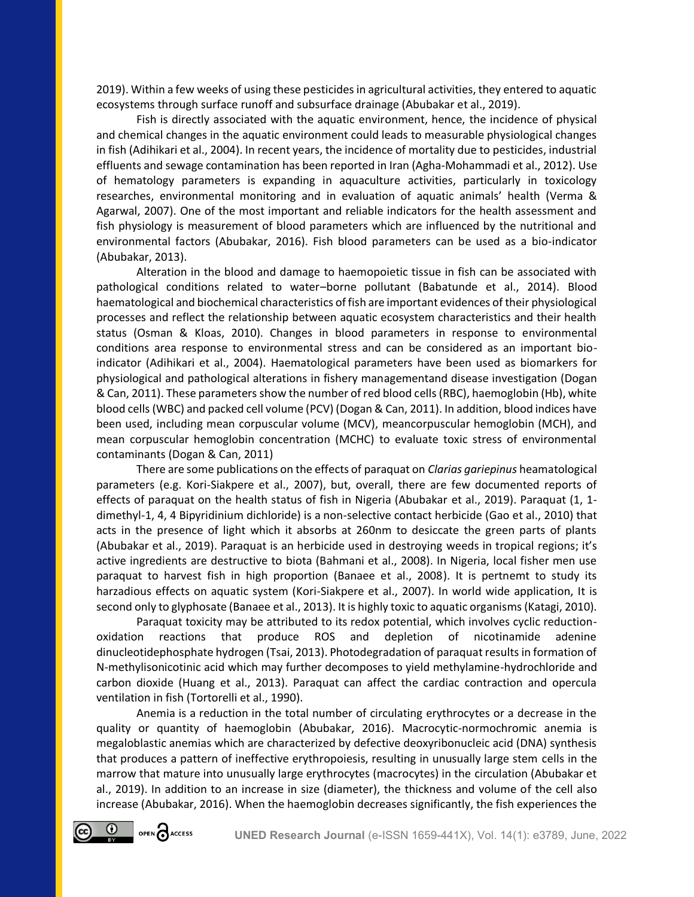2019). Within a few weeks of using these pesticides in agricultural activities, they entered to aquatic ecosystems through surface runoff and subsurface drainage (Abubakar et al., 2019).

Fish is directly associated with the aquatic environment, hence, the incidence of physical and chemical changes in the aquatic environment could leads to measurable physiological changes in fish (Adihikari et al., 2004). In recent years, the incidence of mortality due to pesticides, industrial effluents and sewage contamination has been reported in Iran (Agha-Mohammadi et al., 2012). Use of hematology parameters is expanding in aquaculture activities, particularly in toxicology researches, environmental monitoring and in evaluation of aquatic animals' health (Verma & Agarwal, 2007). One of the most important and reliable indicators for the health assessment and fish physiology is measurement of blood parameters which are influenced by the nutritional and environmental factors (Abubakar, 2016). Fish blood parameters can be used as a bio-indicator (Abubakar, 2013).

Alteration in the blood and damage to haemopoietic tissue in fish can be associated with pathological conditions related to water–borne pollutant (Babatunde et al., 2014). Blood haematological and biochemical characteristics of fish are important evidences of their physiological processes and reflect the relationship between aquatic ecosystem characteristics and their health status (Osman & Kloas, 2010). Changes in blood parameters in response to environmental conditions area response to environmental stress and can be considered as an important bioindicator (Adihikari et al., 2004). Haematological parameters have been used as biomarkers for physiological and pathological alterations in fishery managementand disease investigation (Dogan & Can, 2011). These parameters show the number of red blood cells (RBC), haemoglobin (Hb), white blood cells (WBC) and packed cell volume (PCV) (Dogan & Can, 2011). In addition, blood indices have been used, including mean corpuscular volume (MCV), meancorpuscular hemoglobin (MCH), and mean corpuscular hemoglobin concentration (MCHC) to evaluate toxic stress of environmental contaminants (Dogan & Can, 2011)

There are some publications on the effects of paraquat on *Clarias gariepinus* heamatological parameters (e.g. Kori-Siakpere et al., 2007), but, overall, there are few documented reports of effects of paraquat on the health status of fish in Nigeria (Abubakar et al., 2019). Paraquat (1, 1 dimethyl-1, 4, 4 Bipyridinium dichloride) is a non-selective contact herbicide (Gao et al., 2010) that acts in the presence of light which it absorbs at 260nm to desiccate the green parts of plants (Abubakar et al., 2019). Paraquat is an herbicide used in destroying weeds in tropical regions; it's active ingredients are destructive to biota (Bahmani et al., 2008). In Nigeria, local fisher men use paraquat to harvest fish in high proportion (Banaee et al., 2008). It is pertnemt to study its harzadious effects on aquatic system (Kori-Siakpere et al., 2007). In world wide application, It is second only to glyphosate (Banaee et al., 2013). It is highly toxic to aquatic organisms (Katagi, 2010).

Paraquat toxicity may be attributed to its redox potential, which involves cyclic reductionoxidation reactions that produce ROS and depletion of nicotinamide adenine dinucleotidephosphate hydrogen (Tsai, 2013). Photodegradation of paraquat results in formation of N-methylisonicotinic acid which may further decomposes to yield methylamine-hydrochloride and carbon dioxide (Huang et al., 2013). Paraquat can affect the cardiac contraction and opercula ventilation in fish (Tortorelli et al., 1990).

Anemia is a reduction in the total number of circulating erythrocytes or a decrease in the quality or quantity of haemoglobin (Abubakar, 2016). Macrocytic-normochromic anemia is megaloblastic anemias which are characterized by defective deoxyribonucleic acid (DNA) synthesis that produces a pattern of ineffective erythropoiesis, resulting in unusually large stem cells in the marrow that mature into unusually large erythrocytes (macrocytes) in the circulation (Abubakar et al., 2019). In addition to an increase in size (diameter), the thickness and volume of the cell also increase (Abubakar, 2016). When the haemoglobin decreases significantly, the fish experiences the

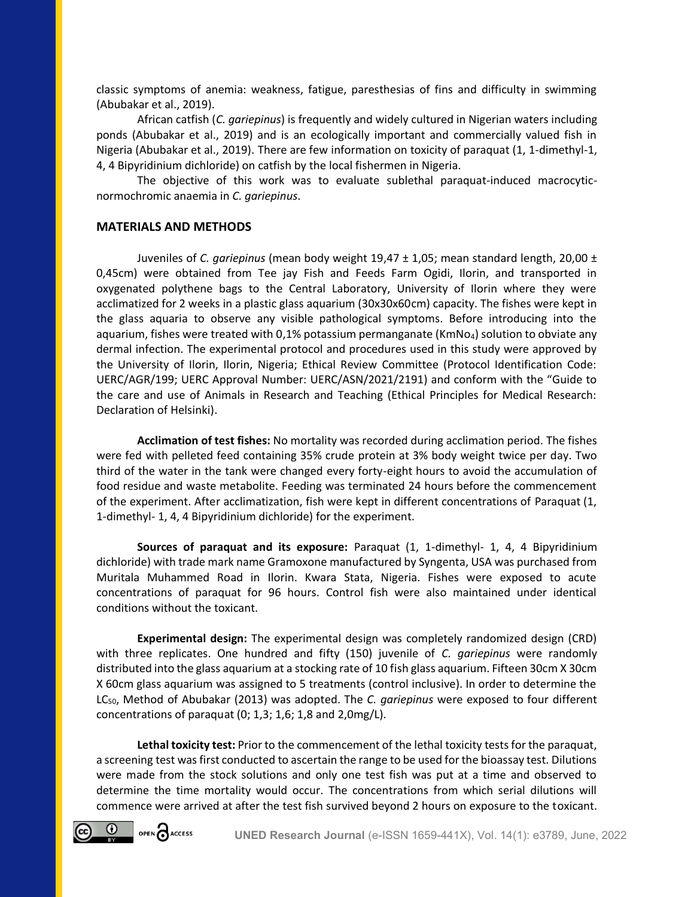classic symptoms of anemia: weakness, fatigue, paresthesias of fins and difficulty in swimming (Abubakar et al., 2019).

African catfish (*C. gariepinus*) is frequently and widely cultured in Nigerian waters including ponds (Abubakar et al., 2019) and is an ecologically important and commercially valued fish in Nigeria (Abubakar et al., 2019). There are few information on toxicity of paraquat (1, 1-dimethyl-1, 4, 4 Bipyridinium dichloride) on catfish by the local fishermen in Nigeria.

The objective of this work was to evaluate sublethal paraquat-induced macrocyticnormochromic anaemia in *C. gariepinus*.

## **MATERIALS AND METHODS**

Juveniles of *C. gariepinus* (mean body weight 19,47 ± 1,05; mean standard length, 20,00 ± 0,45cm) were obtained from Tee jay Fish and Feeds Farm Ogidi, Ilorin, and transported in oxygenated polythene bags to the Central Laboratory, University of Ilorin where they were acclimatized for 2 weeks in a plastic glass aquarium (30x30x60cm) capacity. The fishes were kept in the glass aquaria to observe any visible pathological symptoms. Before introducing into the aquarium, fishes were treated with 0,1% potassium permanganate ( $KmNo<sub>4</sub>$ ) solution to obviate any dermal infection. The experimental protocol and procedures used in this study were approved by the University of Ilorin, Ilorin, Nigeria; Ethical Review Committee (Protocol Identification Code: UERC/AGR/199; UERC Approval Number: UERC/ASN/2021/2191) and conform with the "Guide to the care and use of Animals in Research and Teaching (Ethical Principles for Medical Research: Declaration of Helsinki).

**Acclimation of test fishes:** No mortality was recorded during acclimation period. The fishes were fed with pelleted feed containing 35% crude protein at 3% body weight twice per day. Two third of the water in the tank were changed every forty-eight hours to avoid the accumulation of food residue and waste metabolite. Feeding was terminated 24 hours before the commencement of the experiment. After acclimatization, fish were kept in different concentrations of Paraquat (1, 1-dimethyl- 1, 4, 4 Bipyridinium dichloride) for the experiment.

**Sources of paraquat and its exposure:** Paraquat (1, 1-dimethyl- 1, 4, 4 Bipyridinium dichloride) with trade mark name Gramoxone manufactured by Syngenta, USA was purchased from Muritala Muhammed Road in Ilorin. Kwara Stata, Nigeria. Fishes were exposed to acute concentrations of paraquat for 96 hours. Control fish were also maintained under identical conditions without the toxicant.

**Experimental design:** The experimental design was completely randomized design (CRD) with three replicates. One hundred and fifty (150) juvenile of *C. gariepinus* were randomly distributed into the glass aquarium at a stocking rate of 10 fish glass aquarium. Fifteen 30cm X 30cm X 60cm glass aquarium was assigned to 5 treatments (control inclusive). In order to determine the LC50, Method of Abubakar (2013) was adopted. The *C. gariepinus* were exposed to four different concentrations of paraquat (0; 1,3; 1,6; 1,8 and 2,0mg/L).

**Lethal toxicity test:** Prior to the commencement of the lethal toxicity tests for the paraquat, a screening test was first conducted to ascertain the range to be used for the bioassay test. Dilutions were made from the stock solutions and only one test fish was put at a time and observed to determine the time mortality would occur. The concentrations from which serial dilutions will commence were arrived at after the test fish survived beyond 2 hours on exposure to the toxicant.

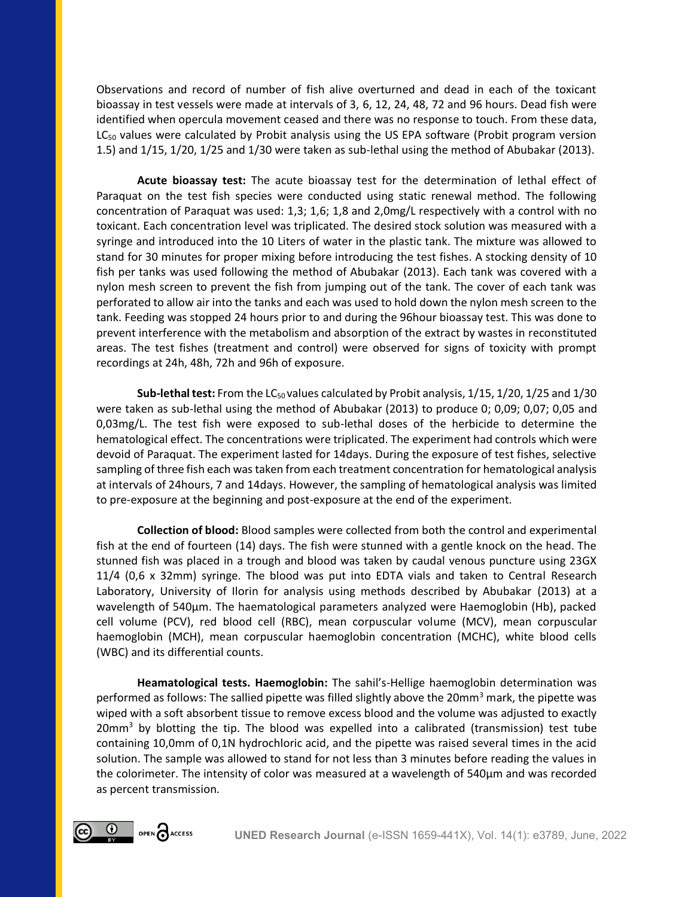Observations and record of number of fish alive overturned and dead in each of the toxicant bioassay in test vessels were made at intervals of 3, 6, 12, 24, 48, 72 and 96 hours. Dead fish were identified when opercula movement ceased and there was no response to touch. From these data,  $LC_{50}$  values were calculated by Probit analysis using the US EPA software (Probit program version 1.5) and 1/15, 1/20, 1/25 and 1/30 were taken as sub-lethal using the method of Abubakar (2013).

**Acute bioassay test:** The acute bioassay test for the determination of lethal effect of Paraquat on the test fish species were conducted using static renewal method. The following concentration of Paraquat was used: 1,3; 1,6; 1,8 and 2,0mg/L respectively with a control with no toxicant. Each concentration level was triplicated. The desired stock solution was measured with a syringe and introduced into the 10 Liters of water in the plastic tank. The mixture was allowed to stand for 30 minutes for proper mixing before introducing the test fishes. A stocking density of 10 fish per tanks was used following the method of Abubakar (2013). Each tank was covered with a nylon mesh screen to prevent the fish from jumping out of the tank. The cover of each tank was perforated to allow air into the tanks and each was used to hold down the nylon mesh screen to the tank. Feeding was stopped 24 hours prior to and during the 96hour bioassay test. This was done to prevent interference with the metabolism and absorption of the extract by wastes in reconstituted areas. The test fishes (treatment and control) were observed for signs of toxicity with prompt recordings at 24h, 48h, 72h and 96h of exposure.

**Sub-lethal test:** From the LC<sub>50</sub> values calculated by Probit analysis, 1/15, 1/20, 1/25 and 1/30 were taken as sub-lethal using the method of Abubakar (2013) to produce 0; 0,09; 0,07; 0,05 and 0,03mg/L. The test fish were exposed to sub-lethal doses of the herbicide to determine the hematological effect. The concentrations were triplicated. The experiment had controls which were devoid of Paraquat. The experiment lasted for 14days. During the exposure of test fishes, selective sampling of three fish each was taken from each treatment concentration for hematological analysis at intervals of 24hours, 7 and 14days. However, the sampling of hematological analysis was limited to pre-exposure at the beginning and post-exposure at the end of the experiment.

**Collection of blood:** Blood samples were collected from both the control and experimental fish at the end of fourteen (14) days. The fish were stunned with a gentle knock on the head. The stunned fish was placed in a trough and blood was taken by caudal venous puncture using 23GX 11/4 (0,6 x 32mm) syringe. The blood was put into EDTA vials and taken to Central Research Laboratory, University of Ilorin for analysis using methods described by Abubakar (2013) at a wavelength of 540µm. The haematological parameters analyzed were Haemoglobin (Hb), packed cell volume (PCV), red blood cell (RBC), mean corpuscular volume (MCV), mean corpuscular haemoglobin (MCH), mean corpuscular haemoglobin concentration (MCHC), white blood cells (WBC) and its differential counts.

**Heamatological tests. Haemoglobin:** The sahil's-Hellige haemoglobin determination was performed as follows: The sallied pipette was filled slightly above the 20mm<sup>3</sup> mark, the pipette was wiped with a soft absorbent tissue to remove excess blood and the volume was adjusted to exactly  $20mm<sup>3</sup>$  by blotting the tip. The blood was expelled into a calibrated (transmission) test tube containing 10,0mm of 0,1N hydrochloric acid, and the pipette was raised several times in the acid solution. The sample was allowed to stand for not less than 3 minutes before reading the values in the colorimeter. The intensity of color was measured at a wavelength of 540μm and was recorded as percent transmission.

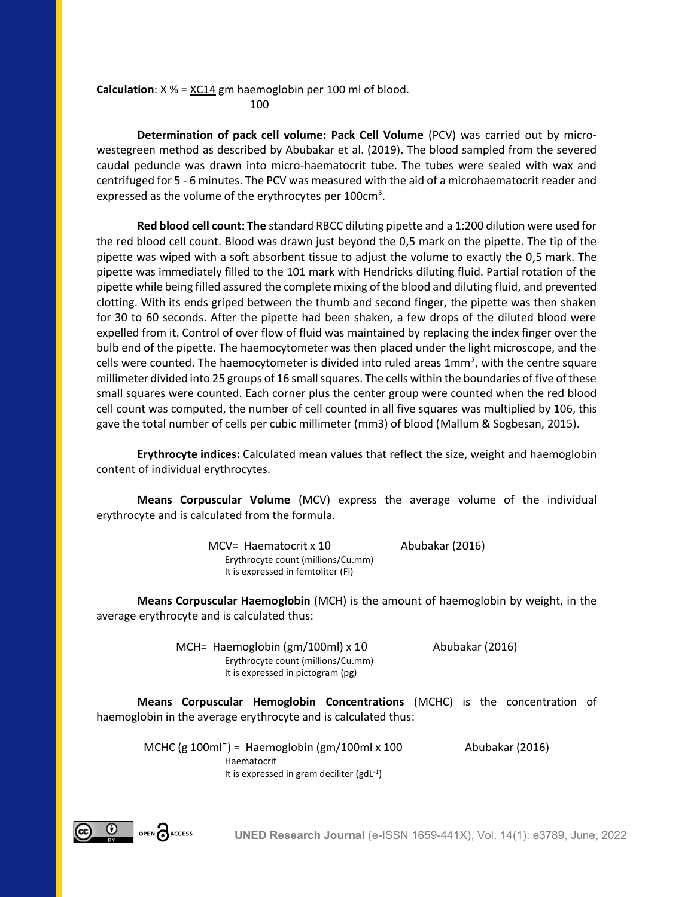**Calculation**:  $X$  % =  $XC14$  gm haemoglobin per 100 ml of blood. 100

**Determination of pack cell volume: Pack Cell Volume** (PCV) was carried out by microwestegreen method as described by Abubakar et al. (2019). The blood sampled from the severed caudal peduncle was drawn into micro-haematocrit tube. The tubes were sealed with wax and centrifuged for 5 - 6 minutes. The PCV was measured with the aid of a microhaematocrit reader and expressed as the volume of the erythrocytes per  $100 \text{cm}^3$ .

**Red blood cell count: The** standard RBCC diluting pipette and a 1:200 dilution were used for the red blood cell count. Blood was drawn just beyond the 0,5 mark on the pipette. The tip of the pipette was wiped with a soft absorbent tissue to adjust the volume to exactly the 0,5 mark. The pipette was immediately filled to the 101 mark with Hendricks diluting fluid. Partial rotation of the pipette while being filled assured the complete mixing of the blood and diluting fluid, and prevented clotting. With its ends griped between the thumb and second finger, the pipette was then shaken for 30 to 60 seconds. After the pipette had been shaken, a few drops of the diluted blood were expelled from it. Control of over flow of fluid was maintained by replacing the index finger over the bulb end of the pipette. The haemocytometer was then placed under the light microscope, and the cells were counted. The haemocytometer is divided into ruled areas  $1mm<sup>2</sup>$ , with the centre square millimeter divided into 25 groups of 16 small squares. The cells within the boundaries of five of these small squares were counted. Each corner plus the center group were counted when the red blood cell count was computed, the number of cell counted in all five squares was multiplied by 106, this gave the total number of cells per cubic millimeter (mm3) of blood (Mallum & Sogbesan, 2015).

**Erythrocyte indices:** Calculated mean values that reflect the size, weight and haemoglobin content of individual erythrocytes.

**Means Corpuscular Volume** (MCV) express the average volume of the individual erythrocyte and is calculated from the formula.

> MCV= Haematocrit x 10 Abubakar (2016) Erythrocyte count (millions/Cu.mm) It is expressed in femtoliter (Fl)

**Means Corpuscular Haemoglobin** (MCH) is the amount of haemoglobin by weight, in the average erythrocyte and is calculated thus:

> MCH= Haemoglobin (gm/100ml) x 10 Abubakar (2016) Erythrocyte count (millions/Cu.mm) It is expressed in pictogram (pg)

**Means Corpuscular Hemoglobin Concentrations** (MCHC) is the concentration of haemoglobin in the average erythrocyte and is calculated thus:

MCHC (g  $100ml^-$ ) = Haemoglobin (gm/ $100ml \times 100$  Abubakar (2016) Haematocrit It is expressed in gram deciliter (gdL<sup>-1</sup>)

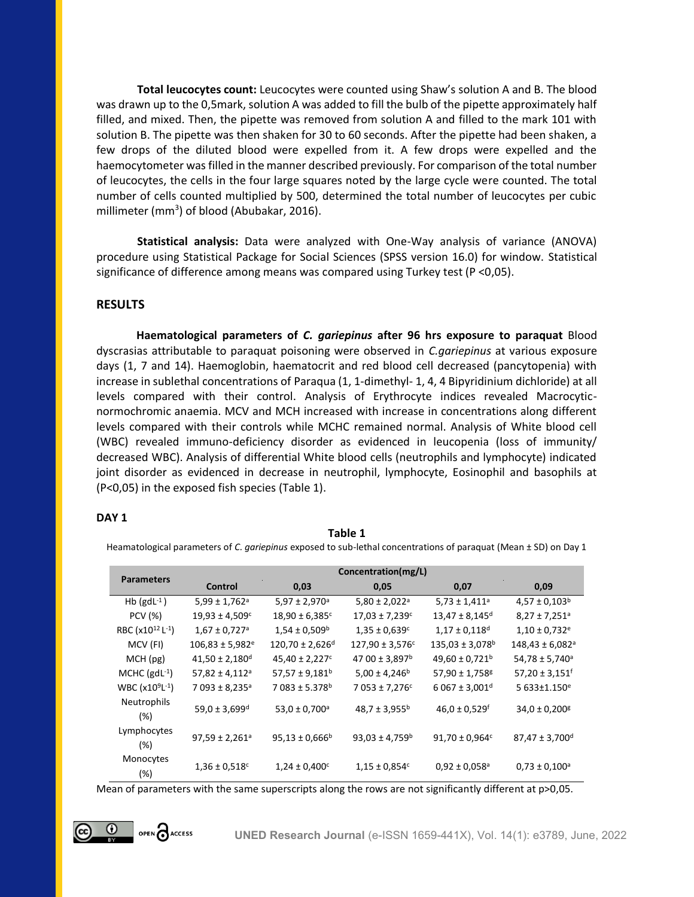**Total leucocytes count:** Leucocytes were counted using Shaw's solution A and B. The blood was drawn up to the 0,5mark, solution A was added to fill the bulb of the pipette approximately half filled, and mixed. Then, the pipette was removed from solution A and filled to the mark 101 with solution B. The pipette was then shaken for 30 to 60 seconds. After the pipette had been shaken, a few drops of the diluted blood were expelled from it. A few drops were expelled and the haemocytometer was filled in the manner described previously. For comparison of the total number of leucocytes, the cells in the four large squares noted by the large cycle were counted. The total number of cells counted multiplied by 500, determined the total number of leucocytes per cubic millimeter (mm<sup>3</sup>) of blood (Abubakar, 2016).

**Statistical analysis:** Data were analyzed with One-Way analysis of variance (ANOVA) procedure using Statistical Package for Social Sciences (SPSS version 16.0) for window. Statistical significance of difference among means was compared using Turkey test (P <0,05).

# **RESULTS**

**Haematological parameters of** *C. gariepinus* **after 96 hrs exposure to paraquat** Blood dyscrasias attributable to paraquat poisoning were observed in *C.gariepinus* at various exposure days (1, 7 and 14). Haemoglobin, haematocrit and red blood cell decreased (pancytopenia) with increase in sublethal concentrations of Paraqua (1, 1-dimethyl- 1, 4, 4 Bipyridinium dichloride) at all levels compared with their control. Analysis of Erythrocyte indices revealed Macrocyticnormochromic anaemia. MCV and MCH increased with increase in concentrations along different levels compared with their controls while MCHC remained normal. Analysis of White blood cell (WBC) revealed immuno-deficiency disorder as evidenced in leucopenia (loss of immunity/ decreased WBC). Analysis of differential White blood cells (neutrophils and lymphocyte) indicated joint disorder as evidenced in decrease in neutrophil, lymphocyte, Eosinophil and basophils at (P<0,05) in the exposed fish species (Table 1).

## **DAY 1**

### **Table 1**

Heamatological parameters of *C. gariepinus* exposed to sub-lethal concentrations of paraquat (Mean ± SD) on Day 1

| <b>Parameters</b>                        | Concentration(mg/L)             |                                |                                |                                 |                                 |  |
|------------------------------------------|---------------------------------|--------------------------------|--------------------------------|---------------------------------|---------------------------------|--|
|                                          | Control                         | 0,03                           | 0,05                           | 0,07                            | 0,09                            |  |
| Hb $(gdL^{-1})$                          | $5,99 \pm 1,762$ <sup>a</sup>   | $5,97 \pm 2,970$ <sup>a</sup>  | $5,80 \pm 2,022$ <sup>a</sup>  | $5,73 \pm 1,411$ <sup>a</sup>   | $4,57 \pm 0,103^b$              |  |
| PCV (%)                                  | $19,93 \pm 4,509c$              | $18,90 \pm 6,385$ c            | $17,03 \pm 7,239$ c            | $13,47 \pm 8,145$ <sup>d</sup>  | $8,27 \pm 7,251$ <sup>a</sup>   |  |
| RBC (x10 <sup>12</sup> L <sup>-1</sup> ) | $1,67 \pm 0,727$ <sup>a</sup>   | $1,54 \pm 0,509^b$             | $1,35 \pm 0,639$ c             | $1,17 \pm 0,118$ <sup>d</sup>   | $1,10 \pm 0,732$ <sup>e</sup>   |  |
| MCV (FI)                                 | $106,83 \pm 5,982$ <sup>e</sup> | 120,70 ± 2,626 <sup>d</sup>    | $127,90 \pm 3,576$ c           | $135,03 \pm 3,078$ <sup>b</sup> | $148,43 \pm 6,082$ <sup>a</sup> |  |
| MCH (pg)                                 | $41,50 \pm 2,180$ <sup>d</sup>  | $45,40 \pm 2,227$ c            | 47 00 ± 3,897 <sup>b</sup>     | $49,60 \pm 0,721$ <sup>b</sup>  | $54,78 \pm 5,740$ <sup>a</sup>  |  |
| MCHC $(gdL^{-1})$                        | $57,82 \pm 4,112$ <sup>a</sup>  | $57,57 \pm 9,181$ <sup>b</sup> | $5,00 \pm 4,246$ <sup>b</sup>  | 57,90 ± 1,758 <sup>g</sup>      | $57,20 \pm 3,151$ <sup>f</sup>  |  |
| $WBC (x109L-1)$                          | $7093 \pm 8,235$ <sup>a</sup>   | $7083 \pm 5.378$ <sup>b</sup>  | 7 053 ± 7,276 <sup>c</sup>     | $6067 \pm 3,001$ <sup>d</sup>   | 5 633±1.150 <sup>e</sup>        |  |
| Neutrophils<br>(%)                       | $59,0 \pm 3,699$ <sup>d</sup>   | $53,0 \pm 0,700$ <sup>a</sup>  | $48,7 \pm 3,955^b$             | $46,0 \pm 0,529$ <sup>f</sup>   | $34,0 \pm 0,200$ <sup>g</sup>   |  |
| Lymphocytes<br>(%)                       | $97,59 \pm 2,261$ <sup>a</sup>  | $95,13 \pm 0,666$ <sup>b</sup> | $93,03 \pm 4,759$ <sup>b</sup> | $91,70 \pm 0,964$ c             | $87,47 \pm 3,700$ <sup>d</sup>  |  |
| Monocytes<br>(%)                         | $1,36 \pm 0,518$ c              | $1,24 \pm 0,400$ <sup>c</sup>  | $1,15 \pm 0,854$ c             | $0,92 \pm 0,058$ <sup>a</sup>   | $0,73 \pm 0,100^{\circ}$        |  |

Mean of parameters with the same superscripts along the rows are not significantly different at p>0,05.

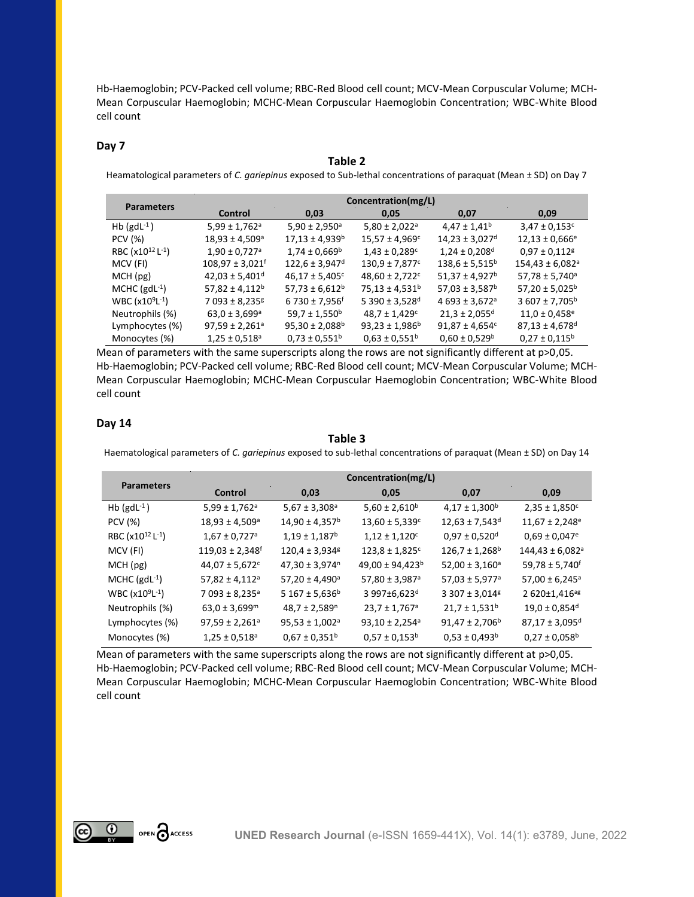Hb-Haemoglobin; PCV-Packed cell volume; RBC-Red Blood cell count; MCV-Mean Corpuscular Volume; MCH-Mean Corpuscular Haemoglobin; MCHC-Mean Corpuscular Haemoglobin Concentration; WBC-White Blood cell count

### **Day 7**

#### **Table 2**

Heamatological parameters of *C. gariepinus* exposed to Sub-lethal concentrations of paraquat (Mean ± SD) on Day 7

|                                          | Concentration(mg/L)             |                                |                                |                                |                                 |  |
|------------------------------------------|---------------------------------|--------------------------------|--------------------------------|--------------------------------|---------------------------------|--|
| <b>Parameters</b>                        | Control                         | 0,03                           | 0,05                           | 0,07                           | 0,09                            |  |
| Hb $(gdL^{-1})$                          | $5,99 \pm 1,762$ <sup>a</sup>   | $5,90 \pm 2,950$ <sup>a</sup>  | $5,80 \pm 2,022$ <sup>a</sup>  | $4,47 \pm 1,41^b$              | $3,47 \pm 0,153$ c              |  |
| <b>PCV</b> (%)                           | $18,93 \pm 4,509$ <sup>a</sup>  | $17,13 \pm 4,939$ <sup>b</sup> | $15,57 \pm 4,969$ <sup>c</sup> | $14,23 \pm 3,027$ <sup>d</sup> | $12,13 \pm 0,666$ <sup>e</sup>  |  |
| RBC (x10 <sup>12</sup> L <sup>-1</sup> ) | $1,90 \pm 0,727$ <sup>a</sup>   | $1,74 \pm 0,669^{\rm b}$       | $1,43 \pm 0,289$ <sup>c</sup>  | $1,24 \pm 0,208$ <sup>d</sup>  | $0,97 \pm 0,112$ <sup>g</sup>   |  |
| MCV (FI)                                 | $108,97 \pm 3,021$ <sup>f</sup> | $122,6 \pm 3,947$ <sup>d</sup> | $130,9 \pm 7,877$ <sup>c</sup> | $138,6 \pm 5,515^b$            | $154,43 \pm 6,082$ <sup>a</sup> |  |
| MCH(pg)                                  | $42,03 \pm 5,401$ <sup>d</sup>  | $46,17 \pm 5,405$ <sup>c</sup> | $48,60 \pm 2,722$ c            | $51,37 \pm 4,927$ <sup>b</sup> | $57,78 \pm 5,740$ <sup>a</sup>  |  |
| MCHC $(gdL^{-1})$                        | $57,82 \pm 4,112$ <sup>b</sup>  | $57,73 \pm 6,612^b$            | $75,13 \pm 4,531$ <sup>b</sup> | $57,03 \pm 3,587$ <sup>b</sup> | $57,20 \pm 5,025^b$             |  |
| $WBC (x109L-1)$                          | 7 093 ± 8,235 <sup>g</sup>      | $6730 \pm 7,956$ <sup>f</sup>  | 5 390 ± 3,528 <sup>d</sup>     | $4693 \pm 3,672$ <sup>a</sup>  | $3607 \pm 7,705^b$              |  |
| Neutrophils (%)                          | $63,0 \pm 3,699$ <sup>a</sup>   | $59,7 \pm 1,550^b$             | $48,7 \pm 1,429$ c             | $21,3 \pm 2,055$ <sup>d</sup>  | $11,0 \pm 0,458$ <sup>e</sup>   |  |
| Lymphocytes (%)                          | $97,59 \pm 2,261$ <sup>a</sup>  | $95,30 \pm 2,088$ <sup>b</sup> | $93,23 \pm 1,986$ <sup>b</sup> | $91,87 \pm 4,654$ c            | $87,13 \pm 4,678$ <sup>d</sup>  |  |
| Monocytes (%)                            | $1,25 \pm 0.518$ <sup>a</sup>   | $0,73 \pm 0,551$ <sup>b</sup>  | $0.63 \pm 0.551^b$             | $0,60 \pm 0,529$ <sup>b</sup>  | $0.27 \pm 0.115^b$              |  |

Mean of parameters with the same superscripts along the rows are not significantly different at p>0,05. Hb-Haemoglobin; PCV-Packed cell volume; RBC-Red Blood cell count; MCV-Mean Corpuscular Volume; MCH-Mean Corpuscular Haemoglobin; MCHC-Mean Corpuscular Haemoglobin Concentration; WBC-White Blood cell count

# **Day 14**

## **Table 3**

Haematological parameters of *C. gariepinus* exposed to sub-lethal concentrations of paraquat (Mean ± SD) on Day 14

| <b>Parameters</b>                        | Concentration(mg/L)             |                                |                                |                                |                                 |  |
|------------------------------------------|---------------------------------|--------------------------------|--------------------------------|--------------------------------|---------------------------------|--|
|                                          | Control                         | 0,03                           | 0,05                           | 0,07                           | 0,09                            |  |
| Hb $(gdL^{-1})$                          | $5,99 \pm 1,762$ <sup>a</sup>   | $5,67 \pm 3,308$ <sup>a</sup>  | $5,60 \pm 2,610^b$             | $4,17 \pm 1,300^b$             | $2,35 \pm 1,850$ c              |  |
| <b>PCV</b> (%)                           | $18,93 \pm 4,509$ <sup>a</sup>  | $14,90 \pm 4,357$ <sup>b</sup> | $13,60 \pm 5,339$ c            | $12,63 \pm 7,543$ <sup>d</sup> | $11,67 \pm 2,248$ <sup>e</sup>  |  |
| RBC (x10 <sup>12</sup> L <sup>-1</sup> ) | $1,67 \pm 0,727$ <sup>a</sup>   | $1,19 \pm 1,187$ <sup>b</sup>  | $1,12 \pm 1,120$ <sup>c</sup>  | $0,97 \pm 0,520$ <sup>d</sup>  | $0,69 \pm 0,047$ <sup>e</sup>   |  |
| MCV (FI)                                 | $119,03 \pm 2,348$ <sup>f</sup> | $120,4 \pm 3,934$ <sup>g</sup> | $123,8 \pm 1,825$ <sup>c</sup> | $126,7 \pm 1,268$ <sup>b</sup> | $144,43 \pm 6,082$ <sup>a</sup> |  |
| MCH(pg)                                  | $44,07 \pm 5,672$ c             | $47,30 \pm 3,974$ <sup>n</sup> | 49,00 ± 94,423 <sup>b</sup>    | $52,00 \pm 3,160$ <sup>a</sup> | $59,78 \pm 5,740$ <sup>f</sup>  |  |
| MCHC $(gdL^{-1})$                        | $57,82 \pm 4,112$ <sup>a</sup>  | $57,20 \pm 4,490$ <sup>a</sup> | 57,80 ± 3,987 <sup>a</sup>     | $57,03 \pm 5,977$ <sup>a</sup> | $57,00 \pm 6,245$ <sup>a</sup>  |  |
| $WBC (x109L-1)$                          | 7 093 ± 8,235 <sup>a</sup>      | $5167 \pm 5,636^b$             | 3 997±6,623 <sup>d</sup>       | 3 307 ± 3,014 <sup>g</sup>     | 2 620±1,416 <sup>ag</sup>       |  |
| Neutrophils (%)                          | $63,0 \pm 3,699$ <sup>m</sup>   | $48,7 \pm 2,589$ <sup>n</sup>  | $23,7 \pm 1,767$ <sup>a</sup>  | $21,7 \pm 1,531$ <sup>b</sup>  | $19,0 \pm 0,854$ <sup>d</sup>   |  |
| Lymphocytes (%)                          | $97,59 \pm 2,261$ <sup>a</sup>  | $95,53 \pm 1,002$ <sup>a</sup> | $93,10 \pm 2,254$ <sup>a</sup> | $91,47 \pm 2,706^b$            | $87,17 \pm 3,095$ <sup>d</sup>  |  |
| Monocytes (%)                            | $1,25 \pm 0,518$ <sup>a</sup>   | $0,67 \pm 0,351$ <sup>b</sup>  | $0,57 \pm 0,153^b$             | $0,53 \pm 0,493^b$             | $0,27 \pm 0,058^{\circ}$        |  |

Mean of parameters with the same superscripts along the rows are not significantly different at p>0,05. Hb-Haemoglobin; PCV-Packed cell volume; RBC-Red Blood cell count; MCV-Mean Corpuscular Volume; MCH-Mean Corpuscular Haemoglobin; MCHC-Mean Corpuscular Haemoglobin Concentration; WBC-White Blood cell count

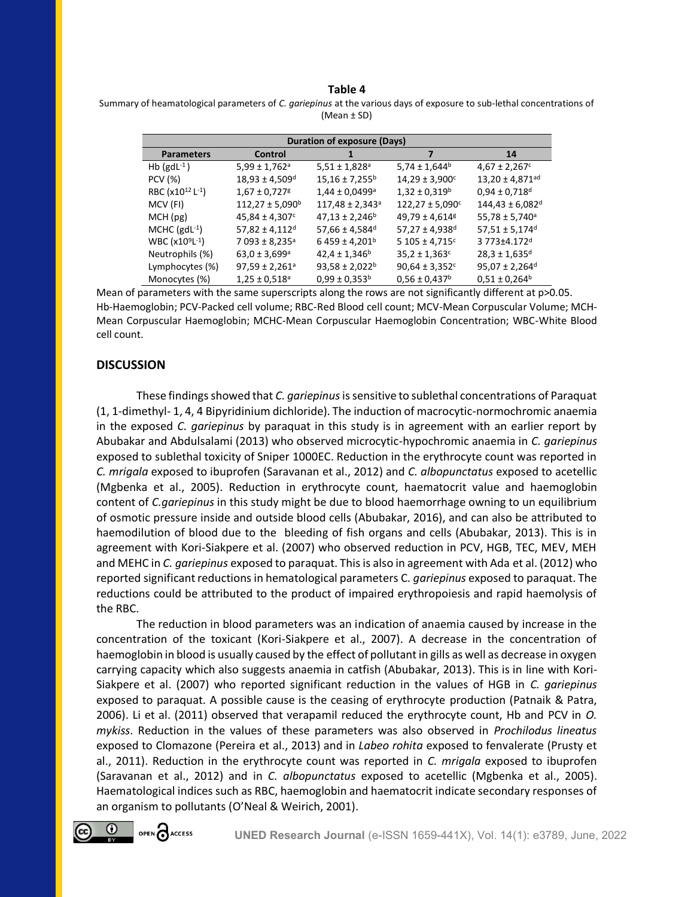#### **Table 4**

| Summary of heamatological parameters of C. gariepinus at the various days of exposure to sub-lethal concentrations of |
|-----------------------------------------------------------------------------------------------------------------------|
| (Mean ± SD)                                                                                                           |

| <b>Duration of exposure (Days)</b>       |                                |                                 |                                 |                                 |  |
|------------------------------------------|--------------------------------|---------------------------------|---------------------------------|---------------------------------|--|
| <b>Parameters</b>                        | Control                        |                                 | 7                               | 14                              |  |
| Hb $(gdL^{-1})$                          | $5,99 \pm 1,762$ <sup>a</sup>  | $5,51 \pm 1,828$ <sup>a</sup>   | $5,74 \pm 1,644$ <sup>b</sup>   | $4,67 \pm 2,267$ c              |  |
| PCV (%)                                  | $18,93 \pm 4,509$ <sup>d</sup> | $15,16 \pm 7,255^b$             | $14,29 \pm 3,900^{\circ}$       | $13,20 \pm 4,871$ <sup>ad</sup> |  |
| RBC (x10 <sup>12</sup> L <sup>-1</sup> ) | $1,67 \pm 0,727$ <sup>g</sup>  | $1,44 \pm 0,0499$ <sup>a</sup>  | $1,32 \pm 0,319^b$              | $0,94 \pm 0,718$ <sup>d</sup>   |  |
| MCV (FI)                                 | $112,27 \pm 5,090^{\circ}$     | $117,48 \pm 2,343$ <sup>a</sup> | $122,27 \pm 5,090$ <sup>c</sup> | $144,43 \pm 6,082$ <sup>d</sup> |  |
| MCH(pg)                                  | $45,84 \pm 4,307$ <sup>c</sup> | $47,13 \pm 2,246$ <sup>b</sup>  | $49,79 \pm 4,614$ <sup>g</sup>  | $55,78 \pm 5,740$ <sup>a</sup>  |  |
| MCHC $(gdL^{-1})$                        | $57,82 \pm 4,112$ <sup>d</sup> | $57,66 \pm 4,584$ <sup>d</sup>  | $57,27 \pm 4,938$ <sup>d</sup>  | $57,51 \pm 5,174$ <sup>d</sup>  |  |
| $WBC (x109L-1)$                          | $7093 \pm 8,235$ <sup>a</sup>  | $6459 \pm 4,201$ <sup>b</sup>   | $5105 \pm 4.715$ <sup>c</sup>   | 3 773±4.172d                    |  |
| Neutrophils (%)                          | $63,0 \pm 3,699$ <sup>a</sup>  | $42,4 \pm 1,346$ <sup>b</sup>   | $35,2 \pm 1,363$ c              | $28,3 \pm 1,635$ <sup>d</sup>   |  |
| Lymphocytes (%)                          | $97,59 \pm 2,261$ <sup>a</sup> | $93,58 \pm 2,022^b$             | $90,64 \pm 3,352$ c             | $95,07 \pm 2,264$ <sup>d</sup>  |  |
| Monocytes (%)                            | $1,25 \pm 0.518$ <sup>a</sup>  | $0.99 \pm 0.353^b$              | $0.56 \pm 0.437$ <sup>b</sup>   | $0.51 \pm 0.264^b$              |  |

Mean of parameters with the same superscripts along the rows are not significantly different at p>0.05. Hb-Haemoglobin; PCV-Packed cell volume; RBC-Red Blood cell count; MCV-Mean Corpuscular Volume; MCH-Mean Corpuscular Haemoglobin; MCHC-Mean Corpuscular Haemoglobin Concentration; WBC-White Blood cell count.

## **DISCUSSION**

These findings showed that *C. gariepinus*is sensitive to sublethal concentrations of Paraquat (1, 1-dimethyl- 1, 4, 4 Bipyridinium dichloride). The induction of macrocytic-normochromic anaemia in the exposed *C. gariepinus* by paraquat in this study is in agreement with an earlier report by Abubakar and Abdulsalami (2013) who observed microcytic-hypochromic anaemia in *C. gariepinus* exposed to sublethal toxicity of Sniper 1000EC. Reduction in the erythrocyte count was reported in *C. mrigala* exposed to ibuprofen (Saravanan et al., 2012) and *C. albopunctatus* exposed to acetellic (Mgbenka et al., 2005). Reduction in erythrocyte count, haematocrit value and haemoglobin content of *C.gariepinus* in this study might be due to blood haemorrhage owning to un equilibrium of osmotic pressure inside and outside blood cells (Abubakar, 2016), and can also be attributed to haemodilution of blood due to the bleeding of fish organs and cells (Abubakar, 2013). This is in agreement with Kori-Siakpere et al. (2007) who observed reduction in PCV, HGB, TEC, MEV, MEH and MEHC in *C. gariepinus* exposed to paraquat. This is also in agreement with Ada et al. (2012) who reported significant reductions in hematological parameters C*. gariepinus* exposed to paraquat. The reductions could be attributed to the product of impaired erythropoiesis and rapid haemolysis of the RBC.

The reduction in blood parameters was an indication of anaemia caused by increase in the concentration of the toxicant (Kori-Siakpere et al., 2007). A decrease in the concentration of haemoglobin in blood is usually caused by the effect of pollutant in gills as well as decrease in oxygen carrying capacity which also suggests anaemia in catfish (Abubakar, 2013). This is in line with Kori-Siakpere et al. (2007) who reported significant reduction in the values of HGB in *C. gariepinus* exposed to paraquat. A possible cause is the ceasing of erythrocyte production (Patnaik & Patra, 2006). Li et al. (2011) observed that verapamil reduced the erythrocyte count, Hb and PCV in *O. mykiss*. Reduction in the values of these parameters was also observed in *Prochilodus lineatus*  exposed to Clomazone (Pereira et al., 2013) and in *Labeo rohita* exposed to fenvalerate (Prusty et al., 2011). Reduction in the erythrocyte count was reported in *C. mrigala* exposed to ibuprofen (Saravanan et al., 2012) and in *C. albopunctatus* exposed to acetellic (Mgbenka et al., 2005). Haematological indices such as RBC, haemoglobin and haematocrit indicate secondary responses of an organism to pollutants (O'Neal & Weirich, 2001).

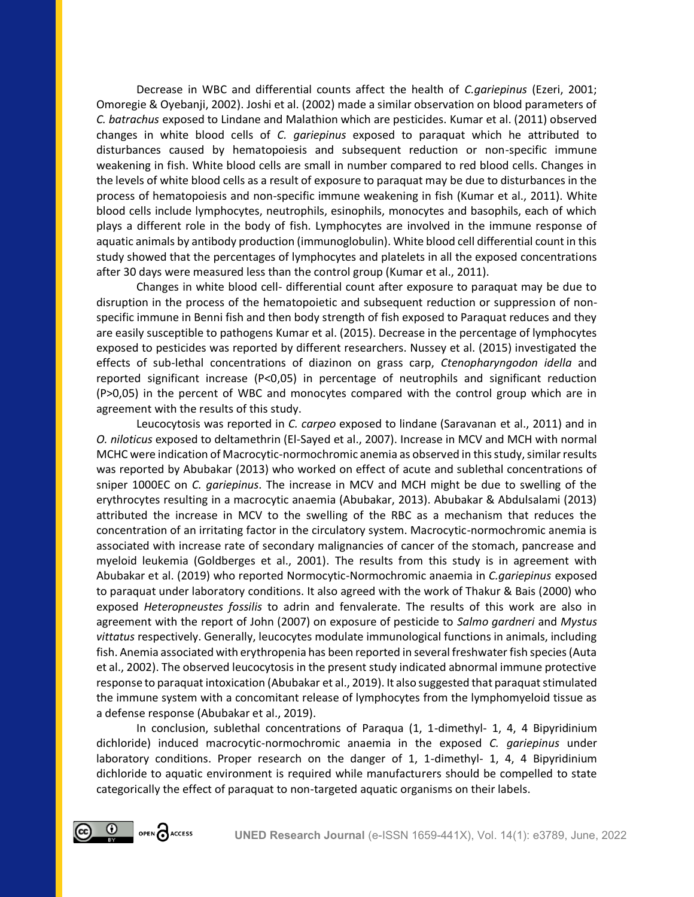Decrease in WBC and differential counts affect the health of *C.gariepinus* (Ezeri, 2001; Omoregie & Oyebanji, 2002). Joshi et al. (2002) made a similar observation on blood parameters of *C. batrachus* exposed to Lindane and Malathion which are pesticides. Kumar et al. (2011) observed changes in white blood cells of *C. gariepinus* exposed to paraquat which he attributed to disturbances caused by hematopoiesis and subsequent reduction or non-specific immune weakening in fish. White blood cells are small in number compared to red blood cells. Changes in the levels of white blood cells as a result of exposure to paraquat may be due to disturbances in the process of hematopoiesis and non-specific immune weakening in fish (Kumar et al., 2011). White blood cells include lymphocytes, neutrophils, esinophils, monocytes and basophils, each of which plays a different role in the body of fish. Lymphocytes are involved in the immune response of aquatic animals by antibody production (immunoglobulin). White blood cell differential count in this study showed that the percentages of lymphocytes and platelets in all the exposed concentrations after 30 days were measured less than the control group (Kumar et al., 2011).

Changes in white blood cell- differential count after exposure to paraquat may be due to disruption in the process of the hematopoietic and subsequent reduction or suppression of nonspecific immune in Benni fish and then body strength of fish exposed to Paraquat reduces and they are easily susceptible to pathogens Kumar et al. (2015). Decrease in the percentage of lymphocytes exposed to pesticides was reported by different researchers. Nussey et al. (2015) investigated the effects of sub-lethal concentrations of diazinon on grass carp, *Ctenopharyngodon idella* and reported significant increase (P<0,05) in percentage of neutrophils and significant reduction (P>0,05) in the percent of WBC and monocytes compared with the control group which are in agreement with the results of this study.

Leucocytosis was reported in *C. carpeo* exposed to lindane (Saravanan et al., 2011) and in *O. niloticus* exposed to deltamethrin (El-Sayed et al., 2007). Increase in MCV and MCH with normal MCHC were indication of Macrocytic-normochromic anemia as observed in this study, similar results was reported by Abubakar (2013) who worked on effect of acute and sublethal concentrations of sniper 1000EC on *C. gariepinus*. The increase in MCV and MCH might be due to swelling of the erythrocytes resulting in a macrocytic anaemia (Abubakar, 2013). Abubakar & Abdulsalami (2013) attributed the increase in MCV to the swelling of the RBC as a mechanism that reduces the concentration of an irritating factor in the circulatory system. Macrocytic-normochromic anemia is associated with increase rate of secondary malignancies of cancer of the stomach, pancrease and myeloid leukemia (Goldberges et al., 2001). The results from this study is in agreement with Abubakar et al. (2019) who reported Normocytic-Normochromic anaemia in *C.gariepinus* exposed to paraquat under laboratory conditions. It also agreed with the work of Thakur & Bais (2000) who exposed *Heteropneustes fossilis* to adrin and fenvalerate. The results of this work are also in agreement with the report of John (2007) on exposure of pesticide to *Salmo gardneri* and *Mystus vittatus* respectively. Generally, leucocytes modulate immunological functions in animals, including fish. Anemia associated with erythropenia has been reported in several freshwater fish species (Auta et al., 2002). The observed leucocytosis in the present study indicated abnormal immune protective response to paraquat intoxication (Abubakar et al., 2019). It also suggested that paraquat stimulated the immune system with a concomitant release of lymphocytes from the lymphomyeloid tissue as a defense response (Abubakar et al., 2019).

In conclusion, sublethal concentrations of Paraqua (1, 1-dimethyl- 1, 4, 4 Bipyridinium dichloride) induced macrocytic-normochromic anaemia in the exposed *C. gariepinus* under laboratory conditions. Proper research on the danger of 1, 1-dimethyl- 1, 4, 4 Bipyridinium dichloride to aquatic environment is required while manufacturers should be compelled to state categorically the effect of paraquat to non-targeted aquatic organisms on their labels.

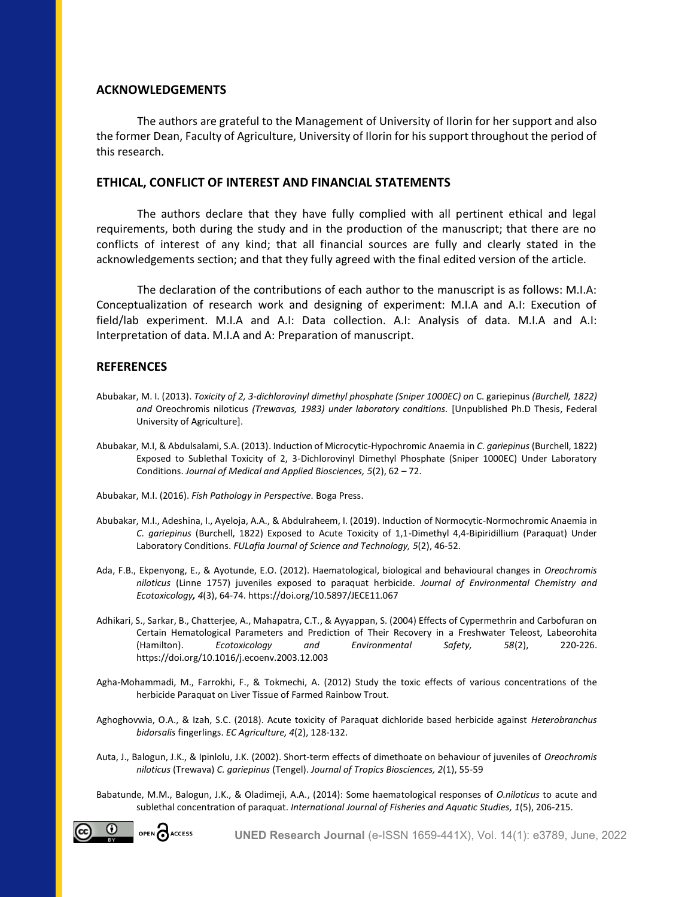# **ACKNOWLEDGEMENTS**

The authors are grateful to the Management of University of Ilorin for her support and also the former Dean, Faculty of Agriculture, University of Ilorin for his support throughout the period of this research.

# **ETHICAL, CONFLICT OF INTEREST AND FINANCIAL STATEMENTS**

The authors declare that they have fully complied with all pertinent ethical and legal requirements, both during the study and in the production of the manuscript; that there are no conflicts of interest of any kind; that all financial sources are fully and clearly stated in the acknowledgements section; and that they fully agreed with the final edited version of the article.

The declaration of the contributions of each author to the manuscript is as follows: M.I.A: Conceptualization of research work and designing of experiment: M.I.A and A.I: Execution of field/lab experiment. M.I.A and A.I: Data collection. A.I: Analysis of data. M.I.A and A.I: Interpretation of data. M.I.A and A: Preparation of manuscript.

## **REFERENCES**

- Abubakar, M. I. (2013). *Toxicity of 2, 3-dichlorovinyl dimethyl phosphate (Sniper 1000EC) on* C. gariepinus *(Burchell, 1822) and* Oreochromis niloticus *(Trewavas, 1983) under laboratory conditions.* [Unpublished Ph.D Thesis, Federal University of Agriculture].
- Abubakar, M.I, & Abdulsalami, S.A. (2013). Induction of Microcytic-Hypochromic Anaemia in *C. gariepinus* (Burchell, 1822) Exposed to Sublethal Toxicity of 2, 3-Dichlorovinyl Dimethyl Phosphate (Sniper 1000EC) Under Laboratory Conditions. *Journal of Medical and Applied Biosciences, 5*(2), 62 – 72.
- Abubakar, M.I. (2016). *Fish Pathology in Perspective.* Boga Press.
- Abubakar, M.I., Adeshina, I., Ayeloja, A.A., & Abdulraheem, I. (2019). Induction of Normocytic-Normochromic Anaemia in *C. gariepinus* (Burchell, 1822) Exposed to Acute Toxicity of 1,1-Dimethyl 4,4-Bipiridillium (Paraquat) Under Laboratory Conditions. *FULafia Journal of Science and Technology, 5*(2), 46-52.
- Ada, F.B., Ekpenyong, E., & Ayotunde, E.O. (2012). Haematological, biological and behavioural changes in *Oreochromis niloticus* (Linne 1757) juveniles exposed to paraquat herbicide. *Journal of Environmental Chemistry and Ecotoxicology, 4*(3), 64-74. https://doi.org/10.5897/JECE11.067
- Adhikari, S., Sarkar, B., Chatterjee, A., Mahapatra, C.T., & Ayyappan, S. (2004) Effects of Cypermethrin and Carbofuran on Certain Hematological Parameters and Prediction of Their Recovery in a Freshwater Teleost, Labeorohita (Hamilton). *Ecotoxicology and Environmental Safety, 58*(2), 220-226. https://doi.org/10.1016/j.ecoenv.2003.12.003
- Agha-Mohammadi, M., Farrokhi, F., & Tokmechi, A. (2012) Study the toxic effects of various concentrations of the herbicide Paraquat on Liver Tissue of Farmed Rainbow Trout.
- Aghoghovwia, O.A., & Izah, S.C. (2018). Acute toxicity of Paraquat dichloride based herbicide against *Heterobranchus bidorsalis* fingerlings. *EC Agriculture, 4*(2), 128-132.
- Auta, J., Balogun, J.K., & Ipinlolu, J.K. (2002). Short-term effects of dimethoate on behaviour of juveniles of *Oreochromis niloticus* (Trewava) *C. gariepinus* (Tengel). *Journal of Tropics Biosciences, 2*(1), 55-59
- Babatunde, M.M., Balogun, J.K., & Oladimeji, A.A., (2014): Some haematological responses of *O.niloticus* to acute and sublethal concentration of paraquat. *International Journal of Fisheries and Aquatic Studies, 1*(5), 206-215.

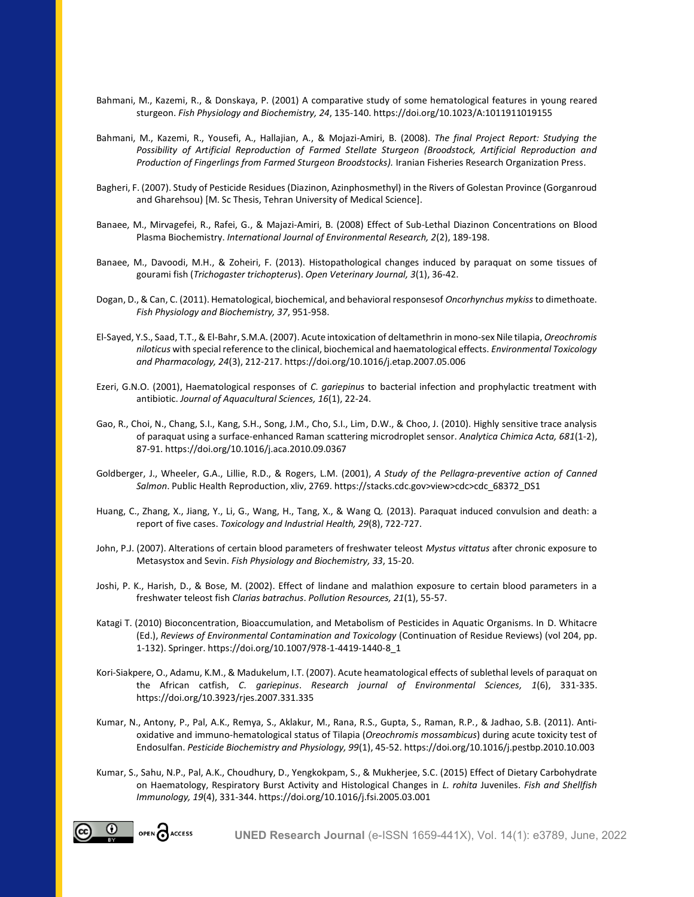- Bahmani, M., Kazemi, R., & Donskaya, P. (2001) A comparative study of some hematological features in young reared sturgeon. *Fish Physiology and Biochemistry, 24*, 135-140. https://doi.org/10.1023/A:1011911019155
- Bahmani, M., Kazemi, R., Yousefi, A., Hallajian, A., & Mojazi-Amiri, B. (2008). *The final Project Report: Studying the Possibility of Artificial Reproduction of Farmed Stellate Sturgeon (Broodstock, Artificial Reproduction and Production of Fingerlings from Farmed Sturgeon Broodstocks).* Iranian Fisheries Research Organization Press.
- Bagheri, F. (2007). Study of Pesticide Residues (Diazinon, Azinphosmethyl) in the Rivers of Golestan Province (Gorganroud and Gharehsou) [M. Sc Thesis, Tehran University of Medical Science].
- Banaee, M., Mirvagefei, R., Rafei, G., & Majazi-Amiri, B. (2008) Effect of Sub-Lethal Diazinon Concentrations on Blood Plasma Biochemistry. *International Journal of Environmental Research, 2*(2), 189-198.
- Banaee, M., Davoodi, M.H., & Zoheiri, F. (2013). Histopathological changes induced by paraquat on some tissues of gourami fish (*Trichogaster trichopterus*). *Open Veterinary Journal, 3*(1), 36-42.
- Dogan, D., & Can, C. (2011). Hematological, biochemical, and behavioral responsesof *Oncorhynchus mykiss* to dimethoate. *Fish Physiology and Biochemistry, 37*, 951-958.
- El-Sayed, Y.S., Saad, T.T., & El-Bahr, S.M.A. (2007). Acute intoxication of deltamethrin in mono-sex Nile tilapia, *Oreochromis niloticus* with special reference to the clinical, biochemical and haematological effects. *Environmental Toxicology and Pharmacology, 24*(3), 212-217. https://doi.org/10.1016/j.etap.2007.05.006
- Ezeri, G.N.O. (2001), Haematological responses of *C. gariepinus* to bacterial infection and prophylactic treatment with antibiotic. *Journal of Aquacultural Sciences, 16*(1), 22-24.
- Gao, R., Choi, N., Chang, S.I., Kang, S.H., Song, J.M., Cho, S.I., Lim, D.W., & Choo, J. (2010). Highly sensitive trace analysis of paraquat using a surface-enhanced Raman scattering microdroplet sensor. *Analytica Chimica Acta, 681*(1-2), 87-91. https://doi.org/10.1016/j.aca.2010.09.0367
- Goldberger, J., Wheeler, G.A., Lillie, R.D., & Rogers, L.M. (2001), *A Study of the Pellagra-preventive action of Canned Salmon*. Public Health Reproduction, xliv, 2769. https://stacks.cdc.gov>view>cdc>cdc\_68372\_DS1
- Huang, C., Zhang, X., Jiang, Y., Li, G., Wang, H., Tang, X., & Wang Q. (2013). Paraquat induced convulsion and death: a report of five cases. *Toxicology and Industrial Health, 29*(8), 722-727.
- John, P.J. (2007). Alterations of certain blood parameters of freshwater teleost *Mystus vittatus* after chronic exposure to Metasystox and Sevin. *Fish Physiology and Biochemistry, 33*, 15-20.
- Joshi, P. K., Harish, D., & Bose, M. (2002). Effect of lindane and malathion exposure to certain blood parameters in a freshwater teleost fish *Clarias batrachus*. *Pollution Resources, 21*(1), 55-57.
- Katagi T. (2010) Bioconcentration, Bioaccumulation, and Metabolism of Pesticides in Aquatic Organisms. In D. Whitacre (Ed.), *Reviews of Environmental Contamination and Toxicology* (Continuation of Residue Reviews) (vol 204, pp. 1-132). Springer[. https://doi.org/10.1007/978-1-4419-1440-8\\_1](https://doi.org/10.1007/978-1-4419-1440-8_1)
- Kori-Siakpere, O., Adamu, K.M., & Madukelum, I.T. (2007). Acute heamatological effects of sublethal levels of paraquat on the African catfish, *C. gariepinus*. *Research journal of Environmental Sciences, 1*(6), 331-335. https://doi.org/10.3923/rjes.2007.331.335
- Kumar, N., Antony, P., Pal, A.K., Remya, S., Aklakur, M., Rana, R.S., Gupta, S., Raman, R.P., & Jadhao, S.B. (2011). Antioxidative and immuno-hematological status of Tilapia (*Oreochromis mossambicus*) during acute toxicity test of Endosulfan. *Pesticide Biochemistry and Physiology, 99*(1), 45-52. https://doi.org/10.1016/j.pestbp.2010.10.003
- Kumar, S., Sahu, N.P., Pal, A.K., Choudhury, D., Yengkokpam, S., & Mukherjee, S.C. (2015) Effect of Dietary Carbohydrate on Haematology, Respiratory Burst Activity and Histological Changes in *L. rohita* Juveniles. *Fish and Shellfish Immunology, 19*(4), 331-344. https://doi.org/10.1016/j.fsi.2005.03.001